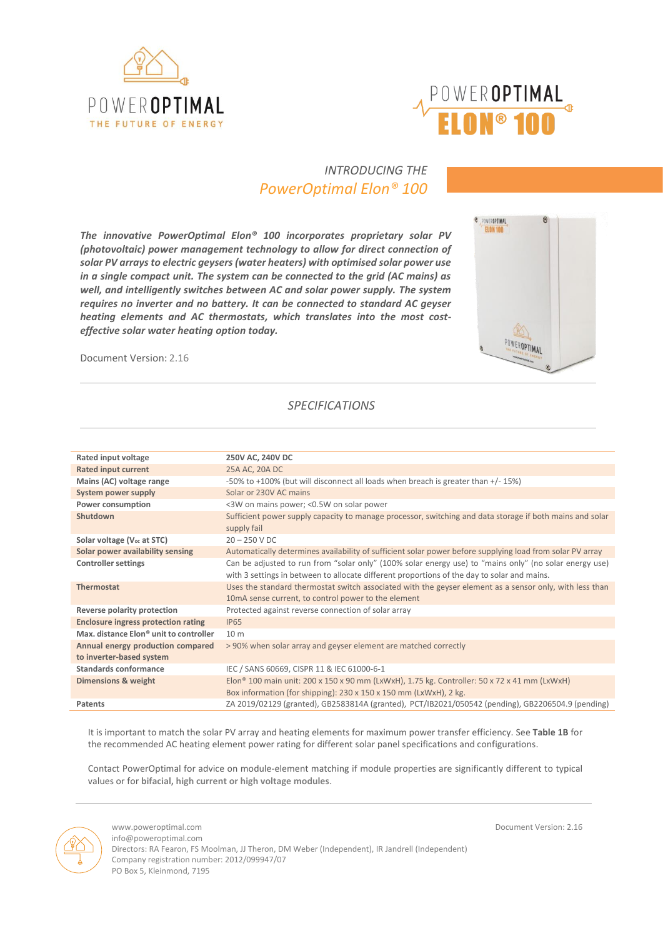



# *INTRODUCING THE PowerOptimal Elon® 100*

*The innovative PowerOptimal Elon® 100 incorporates proprietary solar PV (photovoltaic) power management technology to allow for direct connection of solar PV arrays to electric geysers(water heaters) with optimised solar power use in a single compact unit. The system can be connected to the grid (AC mains) as well, and intelligently switches between AC and solar power supply. The system requires no inverter and no battery. It can be connected to standard AC geyser heating elements and AC thermostats, which translates into the most costeffective solar water heating option today.*

Document Version: 2.16



# *SPECIFICATIONS*

| Rated input voltage                                | 250V AC, 240V DC                                                                                          |
|----------------------------------------------------|-----------------------------------------------------------------------------------------------------------|
| <b>Rated input current</b>                         | 25A AC, 20A DC                                                                                            |
| Mains (AC) voltage range                           | -50% to +100% (but will disconnect all loads when breach is greater than +/- 15%)                         |
| System power supply                                | Solar or 230V AC mains                                                                                    |
| <b>Power consumption</b>                           | <3W on mains power; <0.5W on solar power                                                                  |
| Shutdown                                           | Sufficient power supply capacity to manage processor, switching and data storage if both mains and solar  |
|                                                    | supply fail                                                                                               |
| Solar voltage (V <sub>oc</sub> at STC)             | $20 - 250$ V DC                                                                                           |
| Solar power availability sensing                   | Automatically determines availability of sufficient solar power before supplying load from solar PV array |
| <b>Controller settings</b>                         | Can be adjusted to run from "solar only" (100% solar energy use) to "mains only" (no solar energy use)    |
|                                                    | with 3 settings in between to allocate different proportions of the day to solar and mains.               |
| <b>Thermostat</b>                                  | Uses the standard thermostat switch associated with the geyser element as a sensor only, with less than   |
|                                                    | 10 mA sense current, to control power to the element                                                      |
| Reverse polarity protection                        | Protected against reverse connection of solar array                                                       |
| <b>Enclosure ingress protection rating</b>         | <b>IP65</b>                                                                                               |
| Max, distance Elon <sup>®</sup> unit to controller | 10 <sub>m</sub>                                                                                           |
| Annual energy production compared                  | >90% when solar array and geyser element are matched correctly                                            |
| to inverter-based system                           |                                                                                                           |
| Standards conformance                              | IEC / SANS 60669, CISPR 11 & IEC 61000-6-1                                                                |
| <b>Dimensions &amp; weight</b>                     | Elon <sup>®</sup> 100 main unit: 200 x 150 x 90 mm (LxWxH), 1.75 kg. Controller: 50 x 72 x 41 mm (LxWxH)  |
|                                                    | Box information (for shipping): 230 x 150 x 150 mm (LxWxH), 2 kg.                                         |
| Patents                                            | ZA 2019/02129 (granted), GB2583814A (granted), PCT/IB2021/050542 (pending), GB2206504.9 (pending)         |

It is important to match the solar PV array and heating elements for maximum power transfer efficiency. See **Table 1B** for the recommended AC heating element power rating for different solar panel specifications and configurations.

Contact PowerOptimal for advice on module-element matching if module properties are significantly different to typical values or for **bifacial, high current or high voltage modules**.

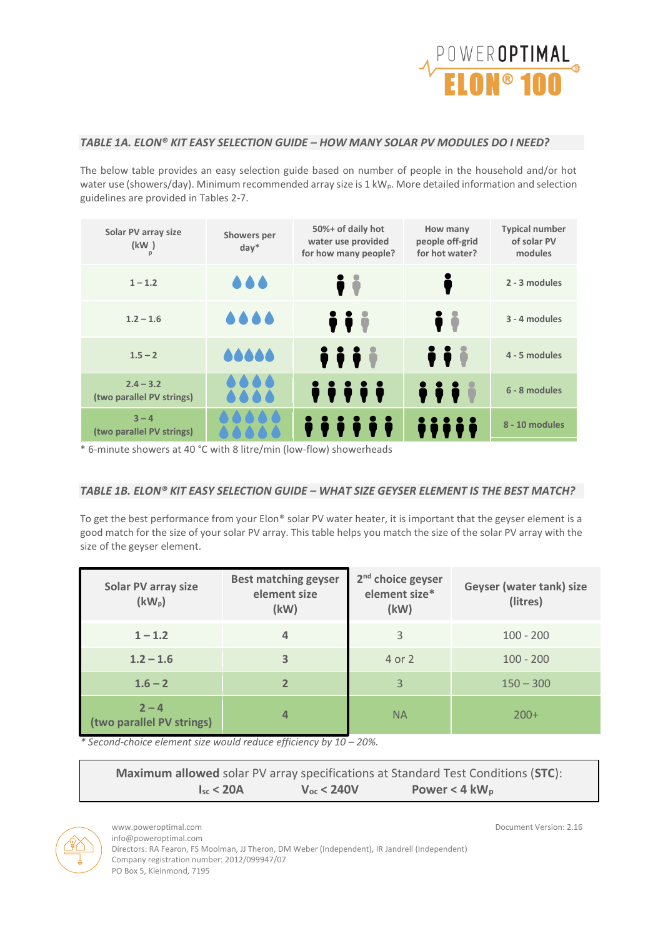

# *TABLE 1A. ELON® KIT EASY SELECTION GUIDE – HOW MANY SOLAR PV MODULES DO I NEED?*

The below table provides an easy selection guide based on number of people in the household and/or hot water use (showers/day). Minimum recommended array size is 1 kW<sub>p</sub>. More detailed information and selection guidelines are provided in Tables 2-7.

| Solar PV array size<br>(kW)<br>p         | Showers per<br>$day^*$ | 50%+ of daily hot<br>water use provided<br>for how many people? | How many<br>people off-grid<br>for hot water?      | <b>Typical number</b><br>of solar PV<br>modules |
|------------------------------------------|------------------------|-----------------------------------------------------------------|----------------------------------------------------|-------------------------------------------------|
| $1 - 1.2$                                |                        | Ìİ                                                              | Ŏ                                                  | 2 - 3 modules                                   |
| $1.2 - 1.6$                              | 0000                   | $\ddot{ }$ $\ddot{ }$ $\ddot{ }$                                | Ìi                                                 | 3 - 4 modules                                   |
| $1.5 - 2$                                | 66666                  | <b><i>iii</i></b>                                               | iii                                                | 4 - 5 modules                                   |
| $2.4 - 3.2$<br>(two parallel PV strings) |                        | iiiii                                                           | $\ddot{\bullet}$ $\ddot{\bullet}$ $\ddot{\bullet}$ | 6 - 8 modules                                   |
| $3 - 4$<br>(two parallel PV strings)     |                        |                                                                 |                                                    | 8 - 10 modules                                  |

\* 6-minute showers at 40 °C with 8 litre/min (low-flow) showerheads

## *TABLE 1B. ELON® KIT EASY SELECTION GUIDE – WHAT SIZE GEYSER ELEMENT IS THE BEST MATCH?*

To get the best performance from your Elon® solar PV water heater, it is important that the geyser element is a good match for the size of your solar PV array. This table helps you match the size of the solar PV array with the size of the geyser element.

| Solar PV array size<br>$(kW_p)$      | <b>Best matching geyser</b><br>element size<br>(kW) | 2 <sup>nd</sup> choice geyser<br>element size*<br>(kW) | Geyser (water tank) size<br>(litres) |
|--------------------------------------|-----------------------------------------------------|--------------------------------------------------------|--------------------------------------|
| $1 - 1.2$                            | 4                                                   | 3                                                      | $100 - 200$                          |
| $1.2 - 1.6$                          | 3                                                   | 4 or 2                                                 | $100 - 200$                          |
| $1.6 - 2$                            | $\overline{2}$                                      | 3                                                      | $150 - 300$                          |
| $2 - 4$<br>(two parallel PV strings) | $\overline{a}$                                      | <b>NA</b>                                              | $200+$                               |

*\* Second-choice element size would reduce efficiency by 10 – 20%.*

|                    |                     | <b>Maximum allowed</b> solar PV array specifications at Standard Test Conditions (STC): |
|--------------------|---------------------|-----------------------------------------------------------------------------------------|
| $I_{\rm sc}$ < 20A | $V_{\rm oc}$ < 240V | Power < 4 $kW_p$                                                                        |



info@poweroptimal.com

Directors: RA Fearon, FS Moolman, JJ Theron, DM Weber (Independent), IR Jandrell (Independent) Company registration number: 2012/099947/07 PO Box 5, Kleinmond, 7195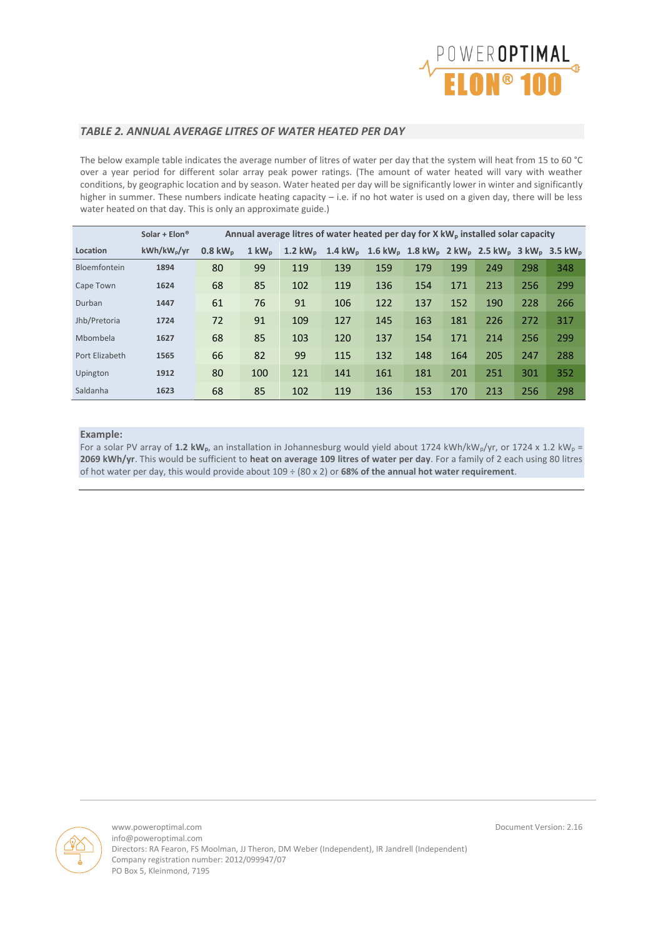

### *TABLE 2. ANNUAL AVERAGE LITRES OF WATER HEATED PER DAY*

The below example table indicates the average number of litres of water per day that the system will heat from 15 to 60 °C over a year period for different solar array peak power ratings. (The amount of water heated will vary with weather conditions, by geographic location and by season. Water heated per day will be significantly lower in winter and significantly higher in summer. These numbers indicate heating capacity – i.e. if no hot water is used on a given day, there will be less water heated on that day. This is only an approximate guide.)

|                | Solar + $Elon$ <sup>®</sup> | Annual average litres of water heated per day for X kW <sub>p</sub> installed solar capacity |                    |     |                                                                                                                                                             |     |     |     |     |     |     |
|----------------|-----------------------------|----------------------------------------------------------------------------------------------|--------------------|-----|-------------------------------------------------------------------------------------------------------------------------------------------------------------|-----|-----|-----|-----|-----|-----|
| Location       | kWh/kW <sub>p</sub> /yr     | $0.8 \text{ kW}_{\text{n}}$                                                                  | $1 \text{ kW}_{p}$ |     | 1.2 kW <sub>p</sub> 1.4 kW <sub>p</sub> 1.6 kW <sub>p</sub> 1.8 kW <sub>p</sub> 2 kW <sub>p</sub> 2.5 kW <sub>p</sub> 3 kW <sub>p</sub> 3.5 kW <sub>p</sub> |     |     |     |     |     |     |
| Bloemfontein   | 1894                        | 80                                                                                           | 99                 | 119 | 139                                                                                                                                                         | 159 | 179 | 199 | 249 | 298 | 348 |
| Cape Town      | 1624                        | 68                                                                                           | 85                 | 102 | 119                                                                                                                                                         | 136 | 154 | 171 | 213 | 256 | 299 |
| Durban         | 1447                        | 61                                                                                           | 76                 | 91  | 106                                                                                                                                                         | 122 | 137 | 152 | 190 | 228 | 266 |
| Jhb/Pretoria   | 1724                        | 72                                                                                           | 91                 | 109 | 127                                                                                                                                                         | 145 | 163 | 181 | 226 | 272 | 317 |
| Mbombela       | 1627                        | 68                                                                                           | 85                 | 103 | 120                                                                                                                                                         | 137 | 154 | 171 | 214 | 256 | 299 |
| Port Elizabeth | 1565                        | 66                                                                                           | 82                 | 99  | 115                                                                                                                                                         | 132 | 148 | 164 | 205 | 247 | 288 |
| Upington       | 1912                        | 80                                                                                           | 100                | 121 | 141                                                                                                                                                         | 161 | 181 | 201 | 251 | 301 | 352 |
| Saldanha       | 1623                        | 68                                                                                           | 85                 | 102 | 119                                                                                                                                                         | 136 | 153 | 170 | 213 | 256 | 298 |

#### **Example:**

For a solar PV array of 1.2 kW<sub>p</sub>, an installation in Johannesburg would yield about 1724 kWh/kW<sub>p</sub>/yr, or 1724 x 1.2 kW<sub>p</sub> **2069 kWh/yr**. This would be sufficient to **heat on average 109 litres of water per day**. For a family of 2 each using 80 litres of hot water per day, this would provide about 109 ÷ (80 x 2) or **68% of the annual hot water requirement**.

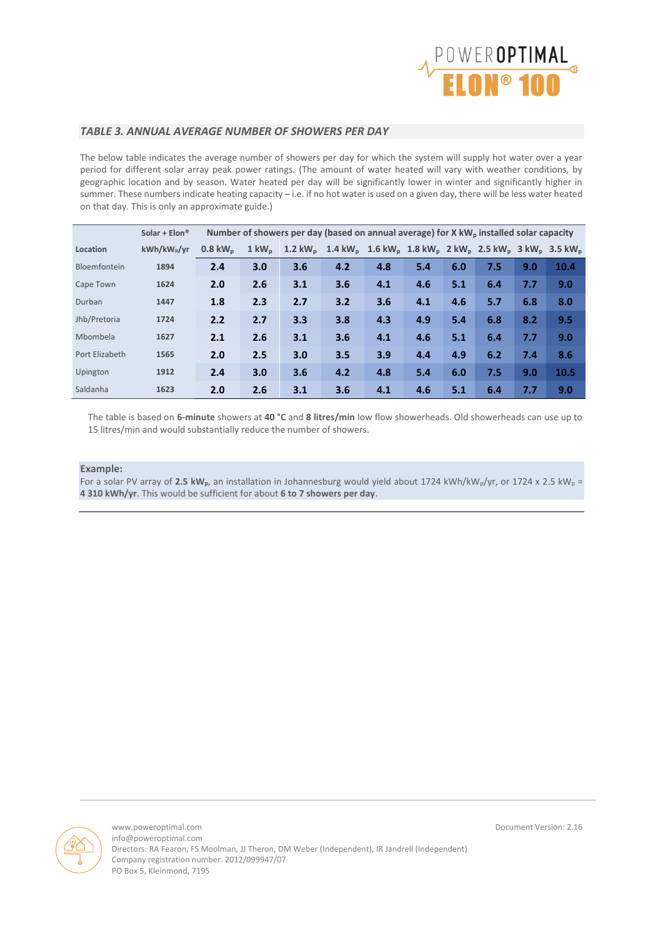

#### *TABLE 3. ANNUAL AVERAGE NUMBER OF SHOWERS PER DAY*

The below table indicates the average number of showers per day for which the system will supply hot water over a year period for different solar array peak power ratings. (The amount of water heated will vary with weather conditions, by geographic location and by season. Water heated per day will be significantly lower in winter and significantly higher in summer. These numbers indicate heating capacity – i.e. if no hot water is used on a given day, there will be less water heated on that day. This is only an approximate guide.)

|                | Solar + $Elon$ <sup>®</sup> | Number of showers per day (based on annual average) for X kW <sub>p</sub> installed solar capacity |                    |                                                                                                                                                             |     |     |     |     |     |     |      |
|----------------|-----------------------------|----------------------------------------------------------------------------------------------------|--------------------|-------------------------------------------------------------------------------------------------------------------------------------------------------------|-----|-----|-----|-----|-----|-----|------|
| Location       | kWh/kW <sub>p</sub> /yr     | $0.8 \text{ kW}_{n}$                                                                               | $1 \text{ kW}_{p}$ | 1.2 kW <sub>p</sub> 1.4 kW <sub>p</sub> 1.6 kW <sub>p</sub> 1.8 kW <sub>p</sub> 2 kW <sub>p</sub> 2.5 kW <sub>p</sub> 3 kW <sub>p</sub> 3.5 kW <sub>p</sub> |     |     |     |     |     |     |      |
| Bloemfontein   | 1894                        | 2.4                                                                                                | 3.0                | 3.6                                                                                                                                                         | 4.2 | 4.8 | 5.4 | 6.0 | 7.5 | 9.0 | 10.4 |
| Cape Town      | 1624                        | 2.0                                                                                                | 2.6                | 3.1                                                                                                                                                         | 3.6 | 4.1 | 4.6 | 5.1 | 6.4 | 7.7 | 9.0  |
| Durban         | 1447                        | 1.8                                                                                                | 2.3                | 2.7                                                                                                                                                         | 3.2 | 3.6 | 4.1 | 4.6 | 5.7 | 6.8 | 8.0  |
| Jhb/Pretoria   | 1724                        | 2.2                                                                                                | 2.7                | 3.3                                                                                                                                                         | 3.8 | 4.3 | 4.9 | 5.4 | 6.8 | 8.2 | 9.5  |
| Mbombela       | 1627                        | 2.1                                                                                                | 2.6                | 3.1                                                                                                                                                         | 3.6 | 4.1 | 4.6 | 5.1 | 6.4 | 7.7 | 9.0  |
| Port Elizabeth | 1565                        | 2.0                                                                                                | 2.5                | 3.0                                                                                                                                                         | 3.5 | 3.9 | 4.4 | 4.9 | 6.2 | 7.4 | 8.6  |
| Upington       | 1912                        | 2.4                                                                                                | 3.0                | 3.6                                                                                                                                                         | 4.2 | 4.8 | 5.4 | 6.0 | 7.5 | 9.0 | 10.5 |
| Saldanha       | 1623                        | 2.0                                                                                                | 2.6                | 3.1                                                                                                                                                         | 3.6 | 4.1 | 4.6 | 5.1 | 6.4 | 7.7 | 9.0  |

The table is based on **6-minute** showers at **40 °C** and **8 litres/min** low flow showerheads. Old showerheads can use up to 15 litres/min and would substantially reduce the number of showers.

#### **Example:**

For a solar PV array of 2.5 kW<sub>p</sub>, an installation in Johannesburg would yield about 1724 kWh/kW<sub>p</sub>/yr, or 1724 x 2.5 kW<sub>p</sub> = **4 310 kWh/yr**. This would be sufficient for about **6 to 7 showers per day**.

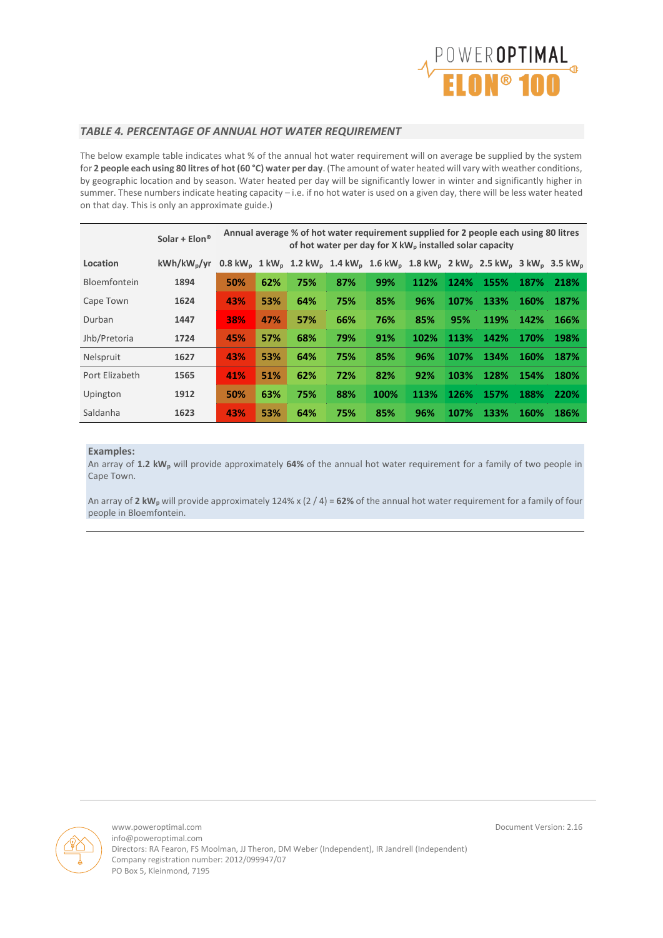

#### *TABLE 4. PERCENTAGE OF ANNUAL HOT WATER REQUIREMENT*

The below example table indicates what % of the annual hot water requirement will on average be supplied by the system for **2 people each using 80 litres of hot (60 °C) water per day**. (The amount of water heated will vary with weather conditions, by geographic location and by season. Water heated per day will be significantly lower in winter and significantly higher in summer. These numbers indicate heating capacity – i.e. if no hot water is used on a given day, there will be less water heated on that day. This is only an approximate guide.)

|                | Solar + $Elon$ <sup>®</sup> |     | Annual average % of hot water requirement supplied for 2 people each using 80 litres<br>of hot water per day for X kW <sub>p</sub> installed solar capacity |     |     |                                                                                                                                                                                                           |      |             |      |             |      |
|----------------|-----------------------------|-----|-------------------------------------------------------------------------------------------------------------------------------------------------------------|-----|-----|-----------------------------------------------------------------------------------------------------------------------------------------------------------------------------------------------------------|------|-------------|------|-------------|------|
| Location       | $kWh/kW_{p}/vr$             |     |                                                                                                                                                             |     |     | $0.8 \text{ kW}_{\text{o}}$ 1 kW <sub>p</sub> 1.2 kW <sub>p</sub> 1.4 kW <sub>p</sub> 1.6 kW <sub>p</sub> 1.8 kW <sub>p</sub> 2 kW <sub>p</sub> 2.5 kW <sub>p</sub> 3 kW <sub>p</sub> 3.5 kW <sub>p</sub> |      |             |      |             |      |
| Bloemfontein   | 1894                        | 50% | 62%                                                                                                                                                         | 75% | 87% | 99%                                                                                                                                                                                                       | 112% | 124%        | 155% | 187%        | 218% |
| Cape Town      | 1624                        | 43% | 53%                                                                                                                                                         | 64% | 75% | 85%                                                                                                                                                                                                       | 96%  | 107%        | 133% | 160%        | 187% |
| Durban         | 1447                        | 38% | 47%                                                                                                                                                         | 57% | 66% | 76%                                                                                                                                                                                                       | 85%  | 95%         | 119% | 142%        | 166% |
| Jhb/Pretoria   | 1724                        | 45% | 57%                                                                                                                                                         | 68% | 79% | 91%                                                                                                                                                                                                       | 102% | 113%        | 142% | 170%        | 198% |
| Nelspruit      | 1627                        | 43% | 53%                                                                                                                                                         | 64% | 75% | 85%                                                                                                                                                                                                       | 96%  | 107%        | 134% | 160%        | 187% |
| Port Elizabeth | 1565                        | 41% | 51%                                                                                                                                                         | 62% | 72% | 82%                                                                                                                                                                                                       | 92%  | 103%        | 128% | 154%        | 180% |
| Upington       | 1912                        | 50% | 63%                                                                                                                                                         | 75% | 88% | 100%                                                                                                                                                                                                      | 113% | <b>126%</b> | 157% | 188%        | 220% |
| Saldanha       | 1623                        | 43% | 53%                                                                                                                                                         | 64% | 75% | 85%                                                                                                                                                                                                       | 96%  | 107%        | 133% | <b>160%</b> | 186% |

#### **Examples:**

An array of **1.2 kW<sup>p</sup>** will provide approximately **64%** of the annual hot water requirement for a family of two people in Cape Town.

An array of **2 kW<sup>p</sup>** will provide approximately 124% x (2 / 4) = **62%** of the annual hot water requirement for a family of four people in Bloemfontein.

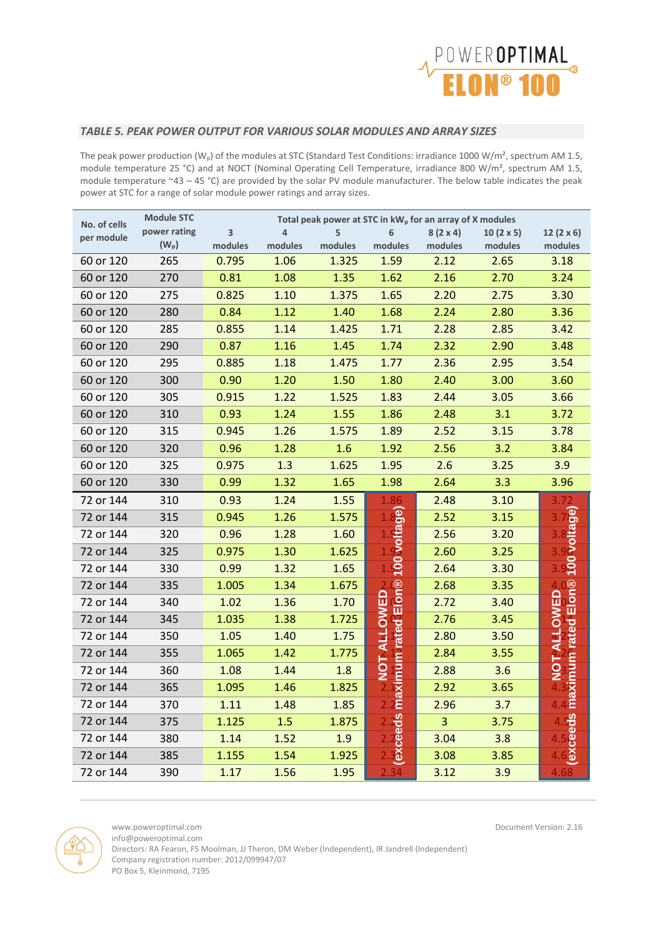

#### *TABLE 5. PEAK POWER OUTPUT FOR VARIOUS SOLAR MODULES AND ARRAY SIZES*

The peak power production (W<sub>p</sub>) of the modules at STC (Standard Test Conditions: irradiance 1000 W/m<sup>2</sup>, spectrum AM 1.5, module temperature 25 °C) and at NOCT (Nominal Operating Cell Temperature, irradiance 800 W/m<sup>2</sup>, spectrum AM 1.5, module temperature  $-43 - 45$  °C) are provided by the solar PV module manufacturer. The below table indicates the peak power at STC for a range of solar module power ratings and array sizes.

| No. of cells | <b>Module STC</b> |         | Total peak power at STC in kW <sub>p</sub> for an array of X modules |         |                                    |                 |                  |                          |
|--------------|-------------------|---------|----------------------------------------------------------------------|---------|------------------------------------|-----------------|------------------|--------------------------|
| per module   | power rating      | 3       | 4                                                                    | 5       | 6                                  | $8(2 \times 4)$ | $10(2 \times 5)$ | 12 $(2 \times 6)$        |
|              | $(W_p)$           | modules | modules                                                              | modules | modules                            | modules         | modules          | modules                  |
| 60 or 120    | 265               | 0.795   | 1.06                                                                 | 1.325   | 1.59                               | 2.12            | 2.65             | 3.18                     |
| 60 or 120    | 270               | 0.81    | 1.08                                                                 | 1.35    | 1.62                               | 2.16            | 2.70             | 3.24                     |
| 60 or 120    | 275               | 0.825   | 1.10                                                                 | 1.375   | 1.65                               | 2.20            | 2.75             | 3.30                     |
| 60 or 120    | 280               | 0.84    | 1.12                                                                 | 1.40    | 1.68                               | 2.24            | 2.80             | 3.36                     |
| 60 or 120    | 285               | 0.855   | 1.14                                                                 | 1.425   | 1.71                               | 2.28            | 2.85             | 3.42                     |
| 60 or 120    | 290               | 0.87    | 1.16                                                                 | 1.45    | 1.74                               | 2.32            | 2.90             | 3.48                     |
| 60 or 120    | 295               | 0.885   | 1.18                                                                 | 1.475   | 1.77                               | 2.36            | 2.95             | 3.54                     |
| 60 or 120    | 300               | 0.90    | 1.20                                                                 | 1.50    | 1.80                               | 2.40            | 3.00             | 3.60                     |
| 60 or 120    | 305               | 0.915   | 1.22                                                                 | 1.525   | 1.83                               | 2.44            | 3.05             | 3.66                     |
| 60 or 120    | 310               | 0.93    | 1.24                                                                 | 1.55    | 1.86                               | 2.48            | 3.1              | 3.72                     |
| 60 or 120    | 315               | 0.945   | 1.26                                                                 | 1.575   | 1.89                               | 2.52            | 3.15             | 3.78                     |
| 60 or 120    | 320               | 0.96    | 1.28                                                                 | 1.6     | 1.92                               | 2.56            | 3.2              | 3.84                     |
| 60 or 120    | 325               | 0.975   | 1.3                                                                  | 1.625   | 1.95                               | 2.6             | 3.25             | 3.9                      |
| 60 or 120    | 330               | 0.99    | 1.32                                                                 | 1.65    | 1.98                               | 2.64            | 3.3              | 3.96                     |
| 72 or 144    | 310               | 0.93    | 1.24                                                                 | 1.55    | 86                                 | 2.48            | 3.10             |                          |
| 72 or 144    | 315               | 0.945   | 1.26                                                                 | 1.575   | 100 voltage)                       | 2.52            | 3.15             |                          |
| 72 or 144    | 320               | 0.96    | 1.28                                                                 | 1.60    |                                    | 2.56            | 3.20             |                          |
| 72 or 144    | 325               | 0.975   | 1.30                                                                 | 1.625   |                                    | 2.60            | 3.25             | 100 voltage              |
| 72 or 144    | 330               | 0.99    | 1.32                                                                 | 1.65    |                                    | 2.64            | 3.30             |                          |
| 72 or 144    | 335               | 1.005   | 1.34                                                                 | 1.675   |                                    | 2.68            | 3.35             |                          |
| 72 or 144    | 340               | 1.02    | 1.36                                                                 | 1.70    | maximum rated Elon®<br>NOT ALLOWED | 2.72            | 3.40             | Elon®<br><b>TALLOWED</b> |
| 72 or 144    | 345               | 1.035   | 1.38                                                                 | 1.725   |                                    | 2.76            | 3.45             |                          |
| 72 or 144    | 350               | 1.05    | 1.40                                                                 | 1.75    |                                    | 2.80            | 3.50             |                          |
| 72 or 144    | 355               | 1.065   | 1.42                                                                 | 1.775   |                                    | 2.84            | 3.55             | maximum rated            |
| 72 or 144    | 360               | 1.08    | 1.44                                                                 | 1.8     |                                    | 2.88            | 3.6              | 5<br>2                   |
| 72 or 144    | 365               | 1.095   | 1.46                                                                 | 1.825   |                                    | 2.92            | 3.65             |                          |
| 72 or 144    | 370               | 1.11    | 1.48                                                                 | 1.85    |                                    | 2.96            | 3.7              |                          |
| 72 or 144    | 375               | 1.125   | 1.5                                                                  | 1.875   | exceeds                            | $\overline{3}$  | 3.75             | <u>ვ</u>                 |
| 72 or 144    | 380               | 1.14    | 1.52                                                                 | 1.9     |                                    | 3.04            | 3.8              | စီ<br>၁၉                 |
| 72 or 144    | 385               | 1.155   | 1.54                                                                 | 1.925   |                                    | 3.08            | 3.85             |                          |
| 72 or 144    | 390               | 1.17    | 1.56                                                                 | 1.95    |                                    | 3.12            | 3.9              |                          |



www.poweroptimal.com Document Version: 2.16

info@poweroptimal.com

Directors: RA Fearon, FS Moolman, JJ Theron, DM Weber (Independent), IR Jandrell (Independent) Company registration number: 2012/099947/07

PO Box 5, Kleinmond, 7195